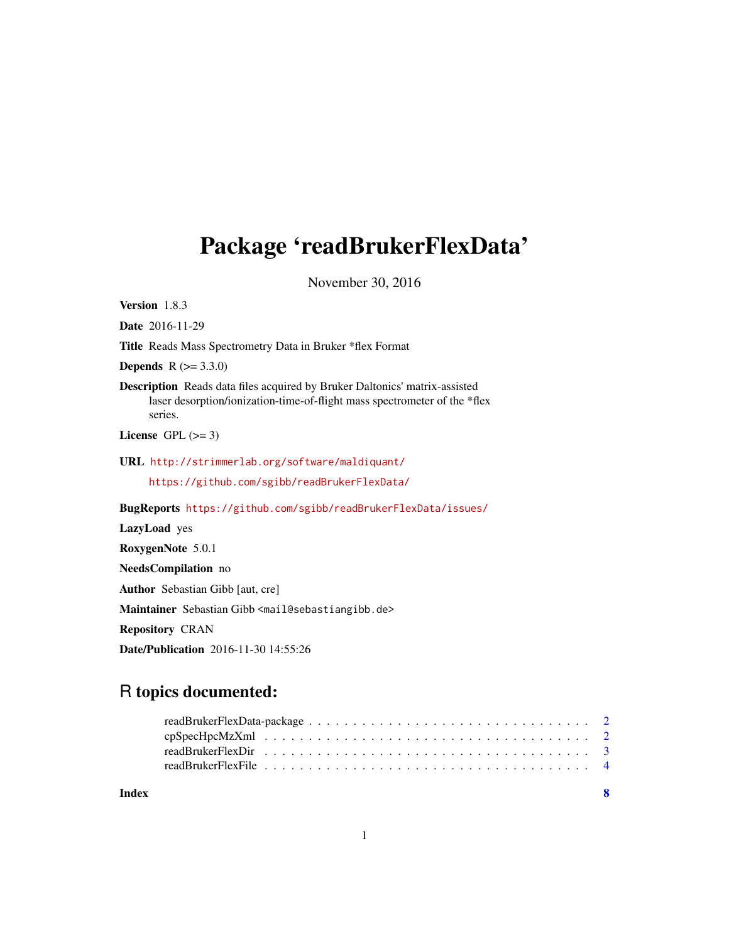# <span id="page-0-0"></span>Package 'readBrukerFlexData'

November 30, 2016

Version 1.8.3 Date 2016-11-29 Title Reads Mass Spectrometry Data in Bruker \*flex Format **Depends**  $R (= 3.3.0)$ Description Reads data files acquired by Bruker Daltonics' matrix-assisted laser desorption/ionization-time-of-flight mass spectrometer of the \*flex series. License GPL  $(>= 3)$ URL <http://strimmerlab.org/software/maldiquant/> <https://github.com/sgibb/readBrukerFlexData/> BugReports <https://github.com/sgibb/readBrukerFlexData/issues/> LazyLoad yes RoxygenNote 5.0.1 NeedsCompilation no Author Sebastian Gibb [aut, cre] Maintainer Sebastian Gibb <mail@sebastiangibb.de> Repository CRAN Date/Publication 2016-11-30 14:55:26

# R topics documented:

| Index |  |  |  |  |  |  |  |  |  |  |  |  | - 8 |
|-------|--|--|--|--|--|--|--|--|--|--|--|--|-----|

1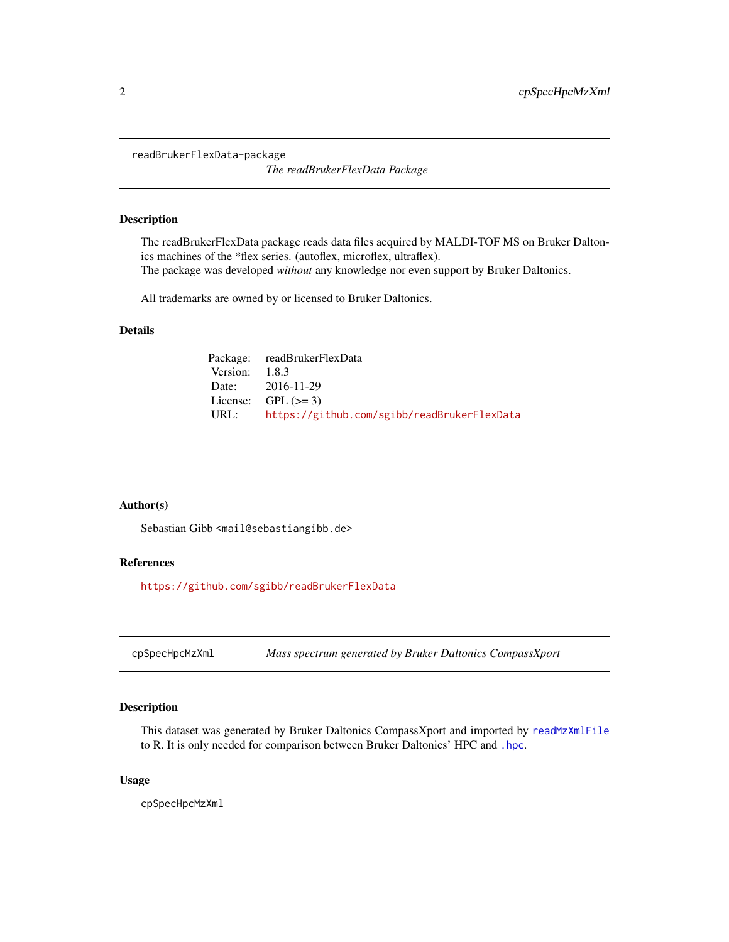<span id="page-1-0"></span>readBrukerFlexData-package

*The readBrukerFlexData Package*

#### Description

The readBrukerFlexData package reads data files acquired by MALDI-TOF MS on Bruker Daltonics machines of the \*flex series. (autoflex, microflex, ultraflex). The package was developed *without* any knowledge nor even support by Bruker Daltonics.

All trademarks are owned by or licensed to Bruker Daltonics.

## Details

|                  | Package: readBrukerFlexData                      |
|------------------|--------------------------------------------------|
| Version: $1.8.3$ |                                                  |
|                  | Date: 2016-11-29                                 |
|                  | License: GPL $(>= 3)$                            |
|                  | URL: https://github.com/sgibb/readBrukerFlexData |

#### Author(s)

Sebastian Gibb <mail@sebastiangibb.de>

# References

<https://github.com/sgibb/readBrukerFlexData>

cpSpecHpcMzXml *Mass spectrum generated by Bruker Daltonics CompassXport*

#### Description

This dataset was generated by Bruker Daltonics CompassXport and imported by [readMzXmlFile](#page-0-0) to R. It is only needed for comparison between Bruker Daltonics' HPC and [.hpc](#page-0-0).

#### Usage

cpSpecHpcMzXml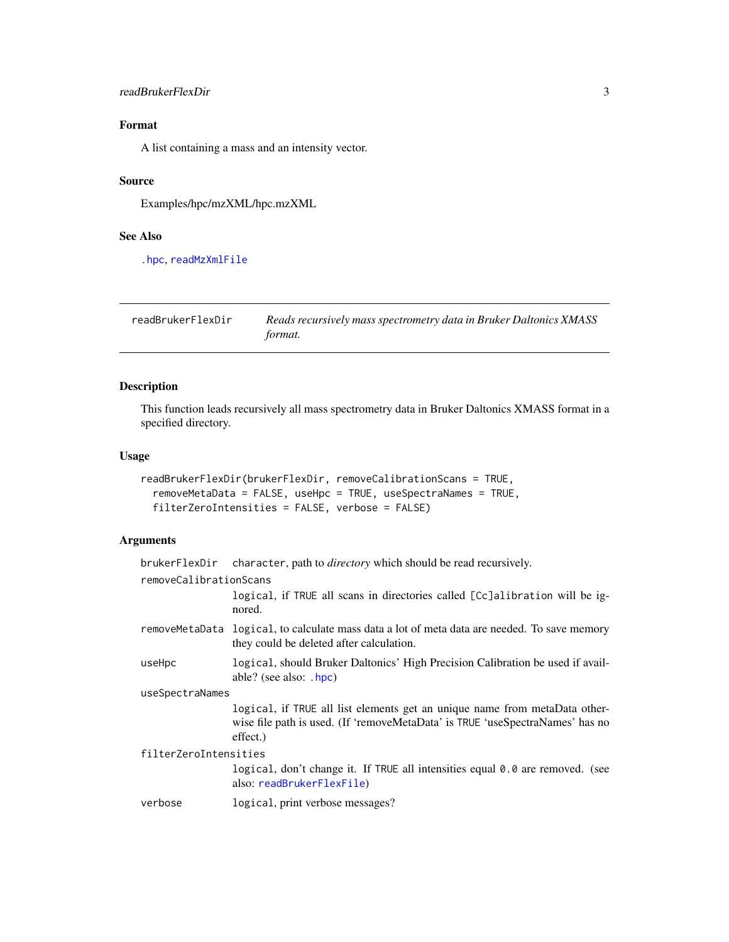#### <span id="page-2-0"></span>readBrukerFlexDir 3

# Format

A list containing a mass and an intensity vector.

#### Source

Examples/hpc/mzXML/hpc.mzXML

# See Also

[.hpc](#page-0-0), [readMzXmlFile](#page-0-0)

<span id="page-2-1"></span>readBrukerFlexDir *Reads recursively mass spectrometry data in Bruker Daltonics XMASS format.*

## Description

This function leads recursively all mass spectrometry data in Bruker Daltonics XMASS format in a specified directory.

#### Usage

```
readBrukerFlexDir(brukerFlexDir, removeCalibrationScans = TRUE,
 removeMetaData = FALSE, useHpc = TRUE, useSpectraNames = TRUE,
 filterZeroIntensities = FALSE, verbose = FALSE)
```
# Arguments

|                        | brukerFlexDir character, path to <i>directory</i> which should be read recursively.                                                                                     |
|------------------------|-------------------------------------------------------------------------------------------------------------------------------------------------------------------------|
| removeCalibrationScans |                                                                                                                                                                         |
|                        | logical, if TRUE all scans in directories called [Cc]alibration will be ig-<br>nored.                                                                                   |
|                        | remove MetaData logical, to calculate mass data a lot of meta data are needed. To save memory<br>they could be deleted after calculation.                               |
| useHpc                 | logical, should Bruker Daltonics' High Precision Calibration be used if avail-<br>able? (see also: .hpc)                                                                |
| useSpectraNames        |                                                                                                                                                                         |
|                        | logical, if TRUE all list elements get an unique name from metaData other-<br>wise file path is used. (If 'removeMetaData' is TRUE 'useSpectraNames' has no<br>effect.) |
| filterZeroIntensities  |                                                                                                                                                                         |
|                        | logical, don't change it. If TRUE all intensities equal 0.0 are removed. (see<br>also: readBrukerFlexFile)                                                              |
| verbose                | logical, print verbose messages?                                                                                                                                        |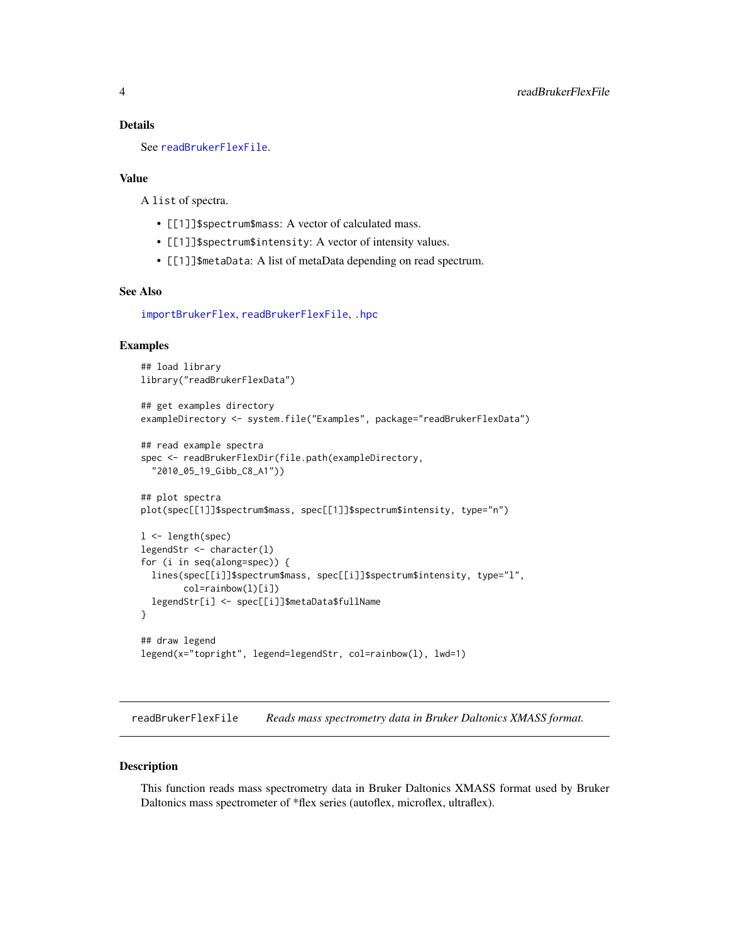#### <span id="page-3-0"></span>Details

See [readBrukerFlexFile](#page-3-1).

#### Value

A list of spectra.

- [[1]]\$spectrum\$mass: A vector of calculated mass.
- [[1]]\$spectrum\$intensity: A vector of intensity values.
- [[1]]\$metaData: A list of metaData depending on read spectrum.

#### See Also

[importBrukerFlex](#page-0-0), [readBrukerFlexFile](#page-3-1), [.hpc](#page-0-0)

#### Examples

```
## load library
library("readBrukerFlexData")
## get examples directory
exampleDirectory <- system.file("Examples", package="readBrukerFlexData")
## read example spectra
spec <- readBrukerFlexDir(file.path(exampleDirectory,
  "2010_05_19_Gibb_C8_A1"))
## plot spectra
plot(spec[[1]]$spectrum$mass, spec[[1]]$spectrum$intensity, type="n")
l <- length(spec)
legendStr <- character(l)
for (i in seq(along=spec)) {
 lines(spec[[i]]$spectrum$mass, spec[[i]]$spectrum$intensity, type="l",
        col=rainbow(l)[i])
 legendStr[i] <- spec[[i]]$metaData$fullName
}
## draw legend
legend(x="topright", legend=legendStr, col=rainbow(l), lwd=1)
```
<span id="page-3-1"></span>readBrukerFlexFile *Reads mass spectrometry data in Bruker Daltonics XMASS format.*

#### Description

This function reads mass spectrometry data in Bruker Daltonics XMASS format used by Bruker Daltonics mass spectrometer of \*flex series (autoflex, microflex, ultraflex).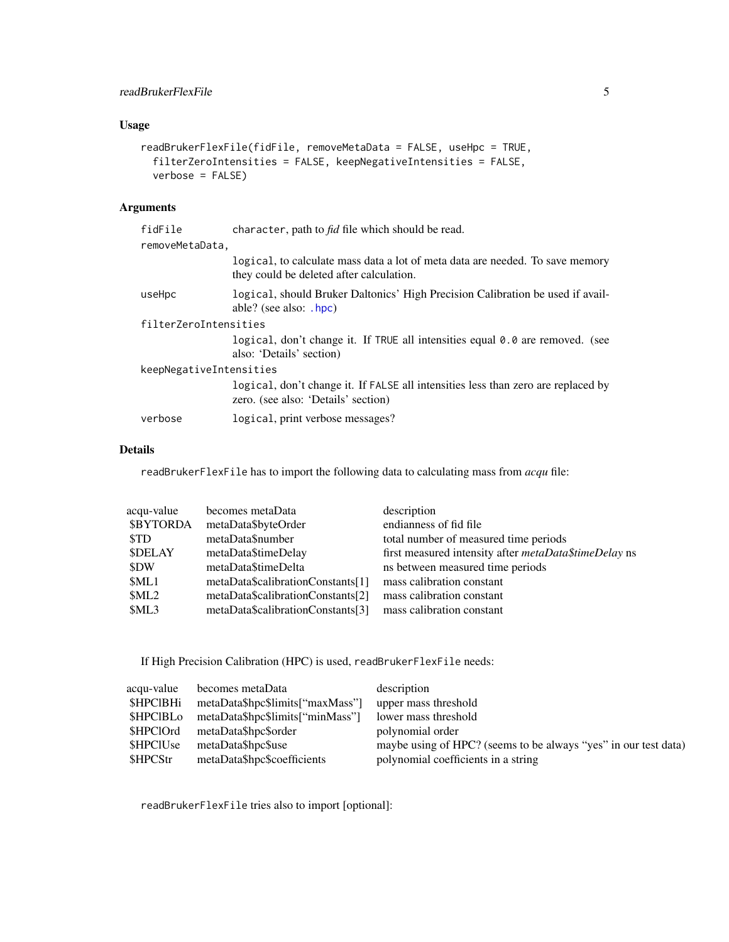# <span id="page-4-0"></span>readBrukerFlexFile 5

# Usage

```
readBrukerFlexFile(fidFile, removeMetaData = FALSE, useHpc = TRUE,
  filterZeroIntensities = FALSE, keepNegativeIntensities = FALSE,
  verbose = FALSE)
```
# Arguments

| fidFile                 | character, path to <i>fid</i> file which should be read.                                                                  |
|-------------------------|---------------------------------------------------------------------------------------------------------------------------|
| removeMetaData,         |                                                                                                                           |
|                         | logical, to calculate mass data a lot of meta data are needed. To save memory<br>they could be deleted after calculation. |
| useHpc                  | logical, should Bruker Daltonics' High Precision Calibration be used if avail-<br>able? (see also: $.hpc$ )               |
| filterZeroIntensities   |                                                                                                                           |
|                         | logical, don't change it. If TRUE all intensities equal 0.0 are removed. (see<br>also: 'Details' section)                 |
| keepNegativeIntensities |                                                                                                                           |
|                         | logical, don't change it. If FALSE all intensities less than zero are replaced by<br>zero. (see also: 'Details' section)  |
| verbose                 | logical, print verbose messages?                                                                                          |

#### Details

readBrukerFlexFile has to import the following data to calculating mass from *acqu* file:

| acqu-value       | becomes metaData                  | description                                                  |
|------------------|-----------------------------------|--------------------------------------------------------------|
| <b>\$BYTORDA</b> | metaData\$byteOrder               | endianness of fid file                                       |
| <b>STD</b>       | metaData\$number                  | total number of measured time periods                        |
| <b>SDELAY</b>    | metaData\$timeDelay               | first measured intensity after <i>metaData\$timeDelay</i> ns |
| \$DW             | metaData\$timeDelta               | ns between measured time periods                             |
| \$ML1            | metaData\$calibrationConstants[1] | mass calibration constant                                    |
| \$ML2            | metaData\$calibrationConstants[2] | mass calibration constant                                    |
| \$ML3            | metaData\$calibrationConstants[3] | mass calibration constant                                    |
|                  |                                   |                                                              |

If High Precision Calibration (HPC) is used, readBrukerFlexFile needs:

| acqu-value       | becomes metaData                 | description                                                     |
|------------------|----------------------------------|-----------------------------------------------------------------|
| <b>\$HPCIBHi</b> | metaData\$hpc\$limits["maxMass"] | upper mass threshold                                            |
| <b>SHPCIBLO</b>  | metaData\$hpc\$limits["minMass"] | lower mass threshold                                            |
| \$HPClOrd        | metaData\$hpc\$order             | polynomial order                                                |
| <b>SHPCIUse</b>  | metaData\$hpc\$use               | maybe using of HPC? (seems to be always "yes" in our test data) |
| \$HPCStr         | metaData\$hpc\$coefficients      | polynomial coefficients in a string                             |

readBrukerFlexFile tries also to import [optional]: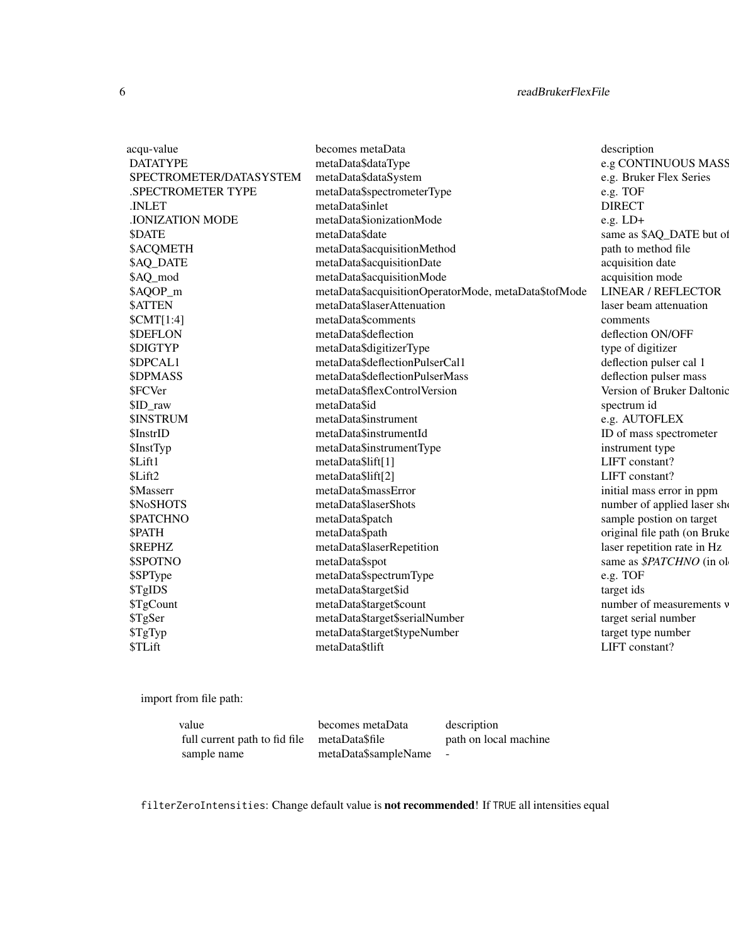# 6 readBrukerFlexFile

| acqu-value              | becomes metaData                                     | description                  |
|-------------------------|------------------------------------------------------|------------------------------|
| <b>DATATYPE</b>         | metaData\$dataType                                   | e.g CONTINUOUS MASS          |
| SPECTROMETER/DATASYSTEM | metaData\$dataSystem                                 | e.g. Bruker Flex Series      |
| .SPECTROMETER TYPE      | metaData\$spectrometerType                           | e.g. TOF                     |
| .INLET                  | metaData\$inlet                                      | <b>DIRECT</b>                |
| <b>.IONIZATION MODE</b> | metaData\$ionizationMode                             | $e.g. LD+$                   |
| <b>\$DATE</b>           | metaData\$date                                       | same as \$AQ_DATE but of     |
| <b>\$ACQMETH</b>        | metaData\$acquisitionMethod                          | path to method file          |
| \$AQ_DATE               | metaData\$acquisitionDate                            | acquisition date             |
| \$AQ_mod                | metaData\$acquisitionMode                            | acquisition mode             |
| \$AQOP_m                | metaData\$acquisitionOperatorMode, metaData\$tofMode | <b>LINEAR / REFLECTOR</b>    |
| <b>\$ATTEN</b>          | metaData\$laserAttenuation                           | laser beam attenuation       |
| SCMT[1:4]               | metaData\$comments                                   | comments                     |
| <b>\$DEFLON</b>         | metaData\$deflection                                 | deflection ON/OFF            |
| <b>\$DIGTYP</b>         | metaData\$digitizerType                              | type of digitizer            |
| \$DPCAL1                | metaData\$deflectionPulserCal1                       | deflection pulser cal 1      |
| <b>\$DPMASS</b>         | metaData\$deflectionPulserMass                       | deflection pulser mass       |
| \$FCVer                 | metaData\$flexControlVersion                         | Version of Bruker Daltonic   |
| \$ID_raw                | metaData\$id                                         | spectrum id                  |
| <b>\$INSTRUM</b>        | metaData\$instrument                                 | e.g. AUTOFLEX                |
| \$InstrID               | metaData\$instrumentId                               | ID of mass spectrometer      |
| \$InstTyp               | metaData\$instrumentType                             | instrument type              |
| \$Lift1                 | metaData\$lift[1]                                    | LIFT constant?               |
| \$Lift2                 | metaData\$lift[2]                                    | LIFT constant?               |
| <b>SMasserr</b>         | metaData\$massError                                  | initial mass error in ppm    |
| \$NoSHOTS               | metaData\$laserShots                                 | number of applied laser she  |
| <b>\$PATCHNO</b>        | metaData\$patch                                      | sample postion on target     |
| \$PATH                  | metaData\$path                                       | original file path (on Bruke |
| <b>SREPHZ</b>           | metaData\$laserRepetition                            | laser repetition rate in Hz  |
| \$SPOTNO                | metaData\$spot                                       | same as \$PATCHNO (in ol     |
| \$SPType                | metaData\$spectrumType                               | e.g. TOF                     |
| \$TgIDS                 | metaData\$target\$id                                 | target ids                   |
| \$TgCount               | metaData\$target\$count                              | number of measurements y     |
| \$TgSer                 | metaData\$target\$serialNumber                       | target serial number         |
| \$TgTyp                 | metaData\$target\$typeNumber                         | target type number           |
| \$TLift                 | metaData\$tlift                                      | LIFT constant?               |
|                         |                                                      |                              |

import from file path:

| value                         | becomes metaData     | description           |
|-------------------------------|----------------------|-----------------------|
| full current path to fid file | metaData\$file       | path on local machine |
| sample name                   | metaData\$sampleName | $\sim$                |

filterZeroIntensities: Change default value is not recommended! If TRUE all intensities equal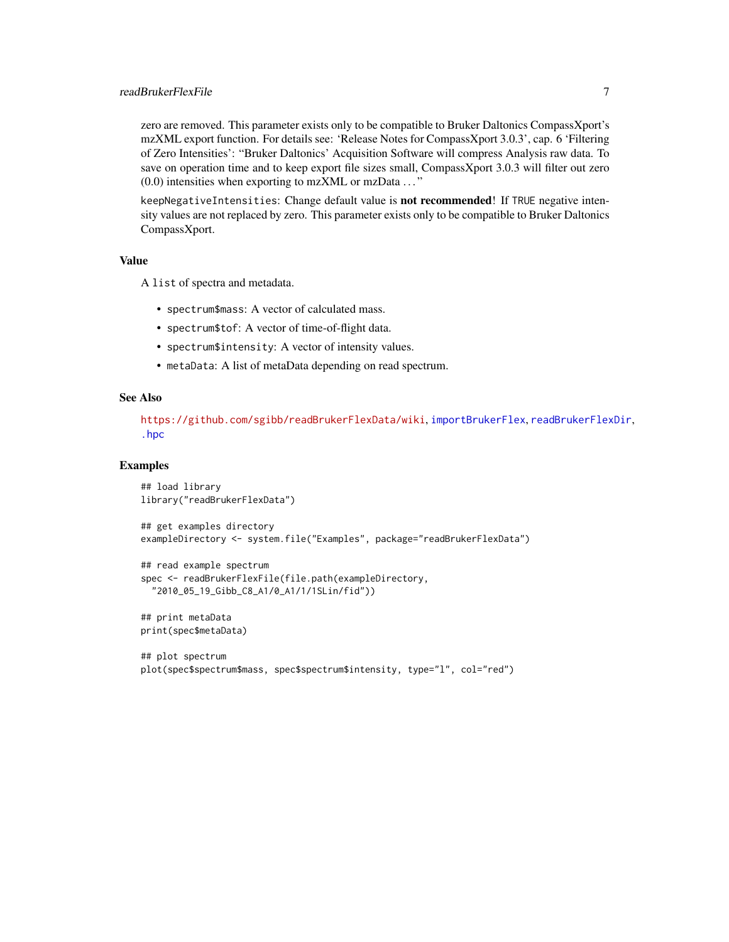#### <span id="page-6-0"></span>readBrukerFlexFile 7

zero are removed. This parameter exists only to be compatible to Bruker Daltonics CompassXport's mzXML export function. For details see: 'Release Notes for CompassXport 3.0.3', cap. 6 'Filtering of Zero Intensities': "Bruker Daltonics' Acquisition Software will compress Analysis raw data. To save on operation time and to keep export file sizes small, CompassXport 3.0.3 will filter out zero  $(0.0)$  intensities when exporting to mzXML or mzData  $\dots$ "

keepNegativeIntensities: Change default value is not recommended! If TRUE negative intensity values are not replaced by zero. This parameter exists only to be compatible to Bruker Daltonics CompassXport.

#### Value

A list of spectra and metadata.

- spectrum\$mass: A vector of calculated mass.
- spectrum\$tof: A vector of time-of-flight data.
- spectrum\$intensity: A vector of intensity values.
- metaData: A list of metaData depending on read spectrum.

#### See Also

<https://github.com/sgibb/readBrukerFlexData/wiki>, [importBrukerFlex](#page-0-0), [readBrukerFlexDir](#page-2-1), [.hpc](#page-0-0)

#### Examples

```
## load library
library("readBrukerFlexData")
```

```
## get examples directory
exampleDirectory <- system.file("Examples", package="readBrukerFlexData")
```

```
## read example spectrum
spec <- readBrukerFlexFile(file.path(exampleDirectory,
  "2010_05_19_Gibb_C8_A1/0_A1/1/1SLin/fid"))
```
## print metaData print(spec\$metaData)

```
## plot spectrum
plot(spec$spectrum$mass, spec$spectrum$intensity, type="l", col="red")
```